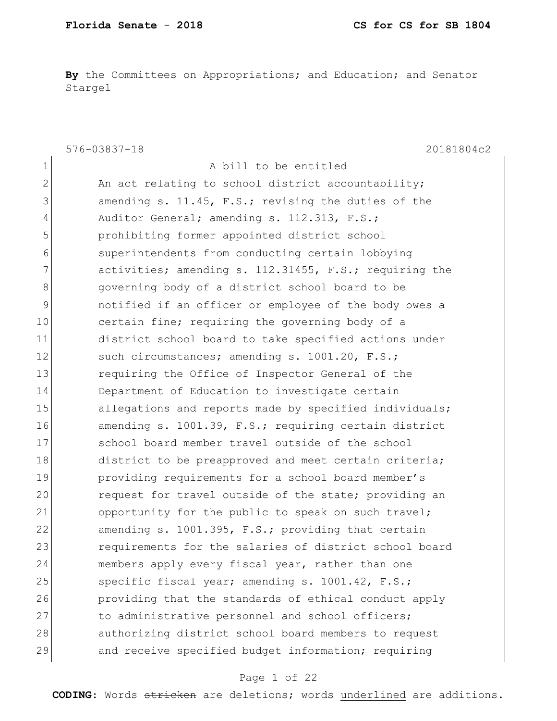**By** the Committees on Appropriations; and Education; and Senator Stargel

|                | $576 - 03837 - 18$<br>20181804c2                       |
|----------------|--------------------------------------------------------|
| 1              | A bill to be entitled                                  |
| $\overline{2}$ | An act relating to school district accountability;     |
| 3              | amending s. 11.45, F.S.; revising the duties of the    |
| 4              | Auditor General; amending s. 112.313, F.S.;            |
| 5              | prohibiting former appointed district school           |
| 6              | superintendents from conducting certain lobbying       |
| 7              | activities; amending s. 112.31455, F.S.; requiring the |
| 8              | governing body of a district school board to be        |
| 9              | notified if an officer or employee of the body owes a  |
| 10             | certain fine; requiring the governing body of a        |
| 11             | district school board to take specified actions under  |
| 12             | such circumstances; amending s. 1001.20, F.S.;         |
| 13             | requiring the Office of Inspector General of the       |
| 14             | Department of Education to investigate certain         |
| 15             | allegations and reports made by specified individuals; |
| 16             | amending s. 1001.39, F.S.; requiring certain district  |
| 17             | school board member travel outside of the school       |
| 18             | district to be preapproved and meet certain criteria;  |
| 19             | providing requirements for a school board member's     |
| 20             | request for travel outside of the state; providing an  |
| 21             | opportunity for the public to speak on such travel;    |
| 22             | amending s. 1001.395, F.S.; providing that certain     |
| 23             | requirements for the salaries of district school board |
| 24             | members apply every fiscal year, rather than one       |
| 25             | specific fiscal year; amending s. 1001.42, F.S.;       |
| 26             | providing that the standards of ethical conduct apply  |
| 27             | to administrative personnel and school officers;       |
| 28             | authorizing district school board members to request   |
| 29             | and receive specified budget information; requiring    |

# Page 1 of 22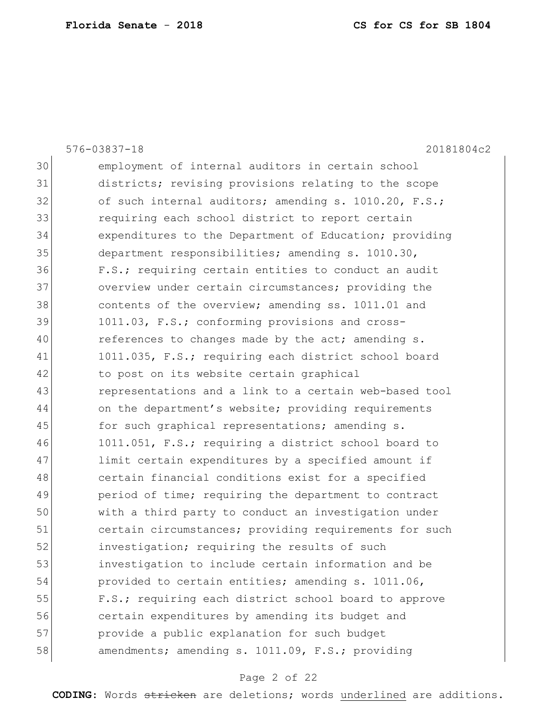|    | 20181804c2<br>$576 - 03837 - 18$                       |
|----|--------------------------------------------------------|
| 30 | employment of internal auditors in certain school      |
| 31 | districts; revising provisions relating to the scope   |
| 32 | of such internal auditors; amending s. 1010.20, F.S.;  |
| 33 | requiring each school district to report certain       |
| 34 | expenditures to the Department of Education; providing |
| 35 | department responsibilities; amending s. 1010.30,      |
| 36 | F.S.; requiring certain entities to conduct an audit   |
| 37 | overview under certain circumstances; providing the    |
| 38 | contents of the overview; amending ss. 1011.01 and     |
| 39 | 1011.03, F.S.; conforming provisions and cross-        |
| 40 | references to changes made by the act; amending s.     |
| 41 | 1011.035, F.S.; requiring each district school board   |
| 42 | to post on its website certain graphical               |
| 43 | representations and a link to a certain web-based tool |
| 44 | on the department's website; providing requirements    |
| 45 | for such graphical representations; amending s.        |
| 46 | 1011.051, F.S.; requiring a district school board to   |
| 47 | limit certain expenditures by a specified amount if    |
| 48 | certain financial conditions exist for a specified     |
| 49 | period of time; requiring the department to contract   |
| 50 | with a third party to conduct an investigation under   |
| 51 | certain circumstances; providing requirements for such |
| 52 | investigation; requiring the results of such           |
| 53 | investigation to include certain information and be    |
| 54 | provided to certain entities; amending s. 1011.06,     |
| 55 | F.S.; requiring each district school board to approve  |
| 56 | certain expenditures by amending its budget and        |
| 57 | provide a public explanation for such budget           |
| 58 | amendments; amending s. 1011.09, F.S.; providing       |
|    |                                                        |

# Page 2 of 22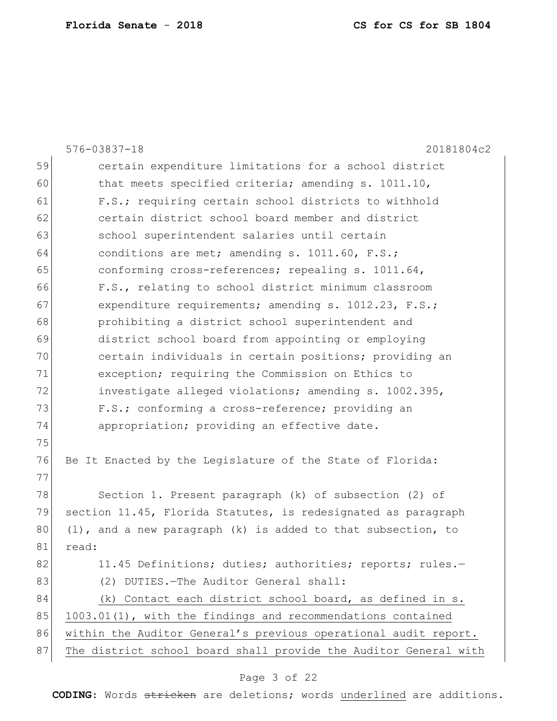|    | $576 - 03837 - 18$<br>20181804c2                                  |
|----|-------------------------------------------------------------------|
| 59 | certain expenditure limitations for a school district             |
| 60 | that meets specified criteria; amending s. 1011.10,               |
| 61 | F.S.; requiring certain school districts to withhold              |
| 62 | certain district school board member and district                 |
| 63 | school superintendent salaries until certain                      |
| 64 | conditions are met; amending s. 1011.60, F.S.;                    |
| 65 | conforming cross-references; repealing s. 1011.64,                |
| 66 | F.S., relating to school district minimum classroom               |
| 67 | expenditure requirements; amending s. 1012.23, F.S.;              |
| 68 | prohibiting a district school superintendent and                  |
| 69 | district school board from appointing or employing                |
| 70 | certain individuals in certain positions; providing an            |
| 71 | exception; requiring the Commission on Ethics to                  |
| 72 | investigate alleged violations; amending s. 1002.395,             |
| 73 | F.S.; conforming a cross-reference; providing an                  |
| 74 | appropriation; providing an effective date.                       |
| 75 |                                                                   |
| 76 | Be It Enacted by the Legislature of the State of Florida:         |
| 77 |                                                                   |
| 78 | Section 1. Present paragraph (k) of subsection (2) of             |
| 79 | section 11.45, Florida Statutes, is redesignated as paragraph     |
| 80 | $(l)$ , and a new paragraph $(k)$ is added to that subsection, to |
| 81 | read:                                                             |
| 82 | 11.45 Definitions; duties; authorities; reports; rules.-          |
| 83 | (2) DUTIES. - The Auditor General shall:                          |
| 84 | (k) Contact each district school board, as defined in s.          |
| 85 | 1003.01(1), with the findings and recommendations contained       |
| 86 | within the Auditor General's previous operational audit report.   |
| 87 | The district school board shall provide the Auditor General with  |
|    |                                                                   |

# Page 3 of 22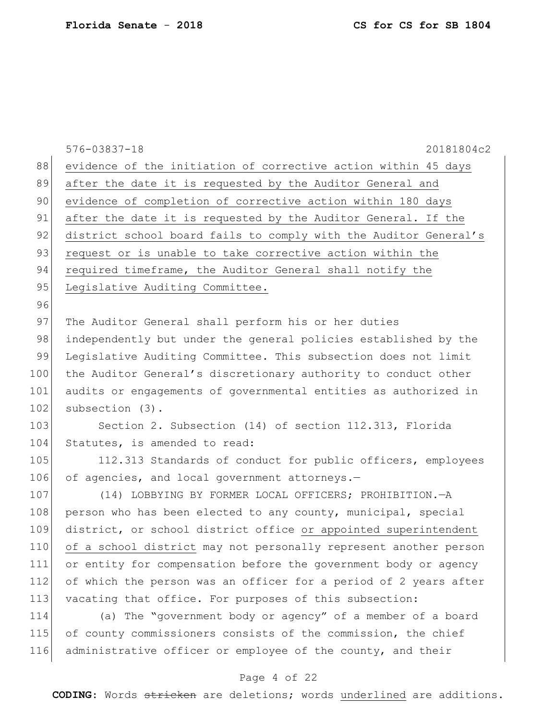|     | $576 - 03837 - 18$<br>20181804c2                                 |
|-----|------------------------------------------------------------------|
| 88  | evidence of the initiation of corrective action within 45 days   |
| 89  | after the date it is requested by the Auditor General and        |
| 90  | evidence of completion of corrective action within 180 days      |
| 91  | after the date it is requested by the Auditor General. If the    |
| 92  | district school board fails to comply with the Auditor General's |
| 93  | request or is unable to take corrective action within the        |
| 94  | required timeframe, the Auditor General shall notify the         |
| 95  | Legislative Auditing Committee.                                  |
| 96  |                                                                  |
| 97  | The Auditor General shall perform his or her duties              |
| 98  | independently but under the general policies established by the  |
| 99  | Legislative Auditing Committee. This subsection does not limit   |
| 100 | the Auditor General's discretionary authority to conduct other   |
| 101 | audits or engagements of governmental entities as authorized in  |
| 102 | subsection (3).                                                  |
| 103 | Section 2. Subsection (14) of section 112.313, Florida           |
| 104 | Statutes, is amended to read:                                    |
| 105 | 112.313 Standards of conduct for public officers, employees      |
| 106 | of agencies, and local government attorneys.-                    |
| 107 | (14) LOBBYING BY FORMER LOCAL OFFICERS; PROHIBITION.-A           |
| 108 | person who has been elected to any county, municipal, special    |
| 109 | district, or school district office or appointed superintendent  |
| 110 | of a school district may not personally represent another person |
| 111 | or entity for compensation before the government body or agency  |
| 112 | of which the person was an officer for a period of 2 years after |
| 113 | vacating that office. For purposes of this subsection:           |
| 114 | (a) The "government body or agency" of a member of a board       |
| 115 | of county commissioners consists of the commission, the chief    |
| 116 | administrative officer or employee of the county, and their      |
|     |                                                                  |

#### Page 4 of 22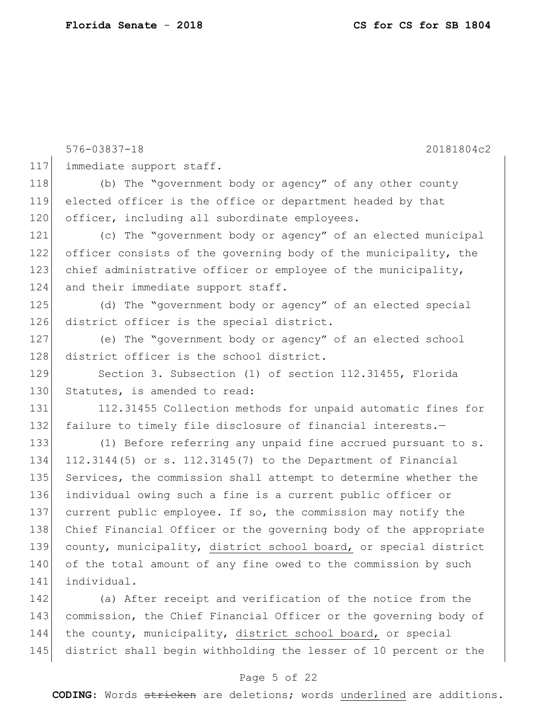576-03837-18 20181804c2 117 immediate support staff. 118 (b) The "government body or agency" of any other county 119 elected officer is the office or department headed by that 120 officer, including all subordinate employees. 121 (c) The "government body or agency" of an elected municipal 122 officer consists of the governing body of the municipality, the 123 chief administrative officer or employee of the municipality, 124 and their immediate support staff. 125 (d) The "government body or agency" of an elected special 126 district officer is the special district. 127 (e) The "government body or agency" of an elected school 128 district officer is the school district. 129 Section 3. Subsection (1) of section 112.31455, Florida 130 Statutes, is amended to read: 131 112.31455 Collection methods for unpaid automatic fines for 132 failure to timely file disclosure of financial interests.-133 (1) Before referring any unpaid fine accrued pursuant to s. 134 112.3144(5) or s. 112.3145(7) to the Department of Financial 135 Services, the commission shall attempt to determine whether the 136 individual owing such a fine is a current public officer or 137 current public employee. If so, the commission may notify the 138 Chief Financial Officer or the governing body of the appropriate 139 county, municipality, district school board, or special district 140 of the total amount of any fine owed to the commission by such 141 individual. 142 (a) After receipt and verification of the notice from the 143 commission, the Chief Financial Officer or the governing body of 144 the county, municipality, district school board, or special

#### Page 5 of 22

145 district shall begin withholding the lesser of 10 percent or the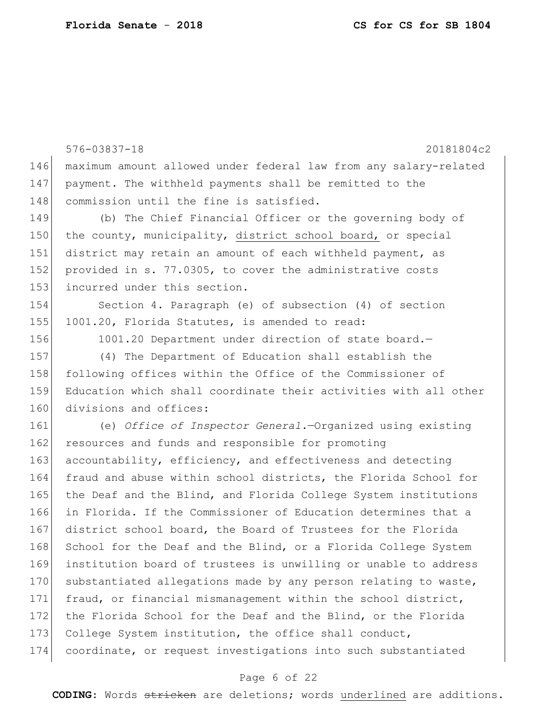576-03837-18 20181804c2 146 maximum amount allowed under federal law from any salary-related 147 payment. The withheld payments shall be remitted to the 148 commission until the fine is satisfied. 149 (b) The Chief Financial Officer or the governing body of 150 the county, municipality, district school board, or special 151 district may retain an amount of each withheld payment, as 152 provided in s. 77.0305, to cover the administrative costs 153 incurred under this section. 154 Section 4. Paragraph (e) of subsection (4) of section 155 1001.20, Florida Statutes, is amended to read: 156 1001.20 Department under direction of state board. 157 (4) The Department of Education shall establish the 158 following offices within the Office of the Commissioner of 159 Education which shall coordinate their activities with all other 160 divisions and offices: 161 (e) *Office of Inspector General.*—Organized using existing 162 resources and funds and responsible for promoting 163 accountability, efficiency, and effectiveness and detecting 164 fraud and abuse within school districts, the Florida School for 165 the Deaf and the Blind, and Florida College System institutions 166 in Florida. If the Commissioner of Education determines that a 167 district school board, the Board of Trustees for the Florida 168 School for the Deaf and the Blind, or a Florida College System 169 institution board of trustees is unwilling or unable to address 170 substantiated allegations made by any person relating to waste, 171 fraud, or financial mismanagement within the school district, 172 the Florida School for the Deaf and the Blind, or the Florida 173 College System institution, the office shall conduct, 174 coordinate, or request investigations into such substantiated

#### Page 6 of 22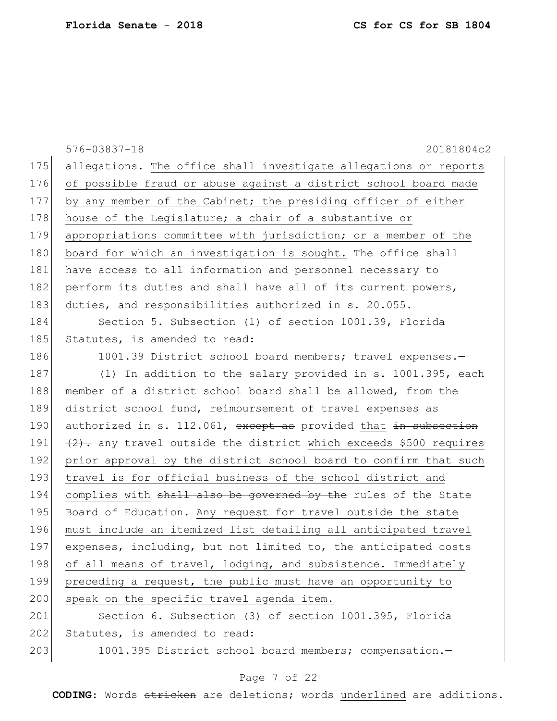|     | $576 - 03837 - 18$<br>20181804c2                                     |
|-----|----------------------------------------------------------------------|
| 175 | allegations. The office shall investigate allegations or reports     |
| 176 | of possible fraud or abuse against a district school board made      |
| 177 | by any member of the Cabinet; the presiding officer of either        |
| 178 | house of the Legislature; a chair of a substantive or                |
| 179 | appropriations committee with jurisdiction; or a member of the       |
| 180 | board for which an investigation is sought. The office shall         |
| 181 | have access to all information and personnel necessary to            |
| 182 | perform its duties and shall have all of its current powers,         |
| 183 | duties, and responsibilities authorized in s. 20.055.                |
| 184 | Section 5. Subsection (1) of section 1001.39, Florida                |
| 185 | Statutes, is amended to read:                                        |
| 186 | 1001.39 District school board members; travel expenses.-             |
| 187 | (1) In addition to the salary provided in s. 1001.395, each          |
| 188 | member of a district school board shall be allowed, from the         |
| 189 | district school fund, reimbursement of travel expenses as            |
| 190 | authorized in s. 112.061, except as provided that in subsection      |
| 191 | $(2)$ . any travel outside the district which exceeds \$500 requires |
| 192 | prior approval by the district school board to confirm that such     |
| 193 | travel is for official business of the school district and           |
| 194 | complies with shall also be governed by the rules of the State       |
| 195 | Board of Education. Any request for travel outside the state         |
| 196 | must include an itemized list detailing all anticipated travel       |
| 197 | expenses, including, but not limited to, the anticipated costs       |
| 198 | of all means of travel, lodging, and subsistence. Immediately        |
| 199 | preceding a request, the public must have an opportunity to          |
| 200 | speak on the specific travel agenda item.                            |
| 201 | Section 6. Subsection (3) of section 1001.395, Florida               |
| 202 | Statutes, is amended to read:                                        |
| 203 | 1001.395 District school board members; compensation.-               |
|     |                                                                      |

# Page 7 of 22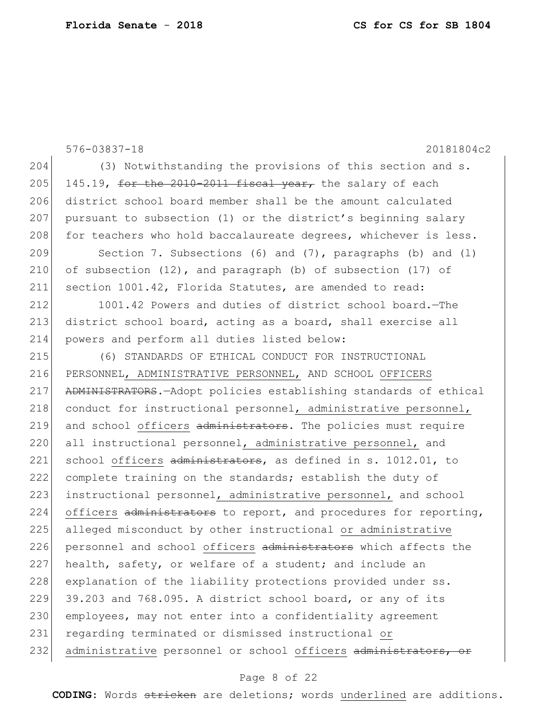576-03837-18 20181804c2 204 (3) Notwithstanding the provisions of this section and s. 205 145.19, for the 2010-2011 fiscal year, the salary of each 206 district school board member shall be the amount calculated 207 pursuant to subsection (1) or the district's beginning salary 208 for teachers who hold baccalaureate degrees, whichever is less. 209 Section 7. Subsections (6) and (7), paragraphs (b) and (l) 210 of subsection (12), and paragraph (b) of subsection (17) of 211 section 1001.42, Florida Statutes, are amended to read: 212 1001.42 Powers and duties of district school board.—The 213 district school board, acting as a board, shall exercise all 214 powers and perform all duties listed below: 215 (6) STANDARDS OF ETHICAL CONDUCT FOR INSTRUCTIONAL 216 PERSONNEL, ADMINISTRATIVE PERSONNEL, AND SCHOOL OFFICERS 217 ADMINISTRATORS.—Adopt policies establishing standards of ethical 218 conduct for instructional personnel, administrative personnel, 219 and school officers administrators. The policies must require 220 all instructional personnel, administrative personnel, and 221 school officers administrators, as defined in s. 1012.01, to 222 complete training on the standards; establish the duty of 223 instructional personnel, administrative personnel, and school 224 officers  $\alpha$ dministrators to report, and procedures for reporting, 225 alleged misconduct by other instructional or administrative 226 personnel and school officers administrators which affects the 227 health, safety, or welfare of a student; and include an 228 explanation of the liability protections provided under ss.  $229$  39.203 and 768.095. A district school board, or any of its 230 employees, may not enter into a confidentiality agreement 231 regarding terminated or dismissed instructional or 232 administrative personnel or school officers administrators,

#### Page 8 of 22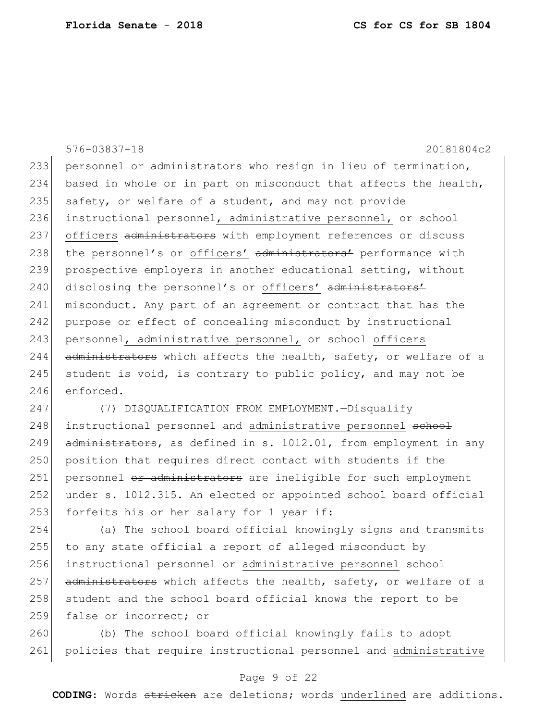576-03837-18 20181804c2 233 personnel or administrators who resign in lieu of termination, 234 based in whole or in part on misconduct that affects the health, 235 safety, or welfare of a student, and may not provide 236 instructional personnel, administrative personnel, or school 237 officers administrators with employment references or discuss 238 the personnel's or officers' administrators' performance with 239 prospective employers in another educational setting, without 240 disclosing the personnel's or officers' administrators' 241 misconduct. Any part of an agreement or contract that has the 242 purpose or effect of concealing misconduct by instructional 243 personnel, administrative personnel, or school officers 244 administrators which affects the health, safety, or welfare of a 245 student is void, is contrary to public policy, and may not be 246 enforced.

247 (7) DISQUALIFICATION FROM EMPLOYMENT.—Disqualify 248 instructional personnel and administrative personnel school 249  $\sigma$  administrators, as defined in s. 1012.01, from employment in any 250 position that requires direct contact with students if the 251| personnel or administrators are ineligible for such employment 252 under s. 1012.315. An elected or appointed school board official 253 forfeits his or her salary for 1 year if:

254 (a) The school board official knowingly signs and transmits 255 to any state official a report of alleged misconduct by 256 instructional personnel or administrative personnel school 257 administrators which affects the health, safety, or welfare of a 258 student and the school board official knows the report to be 259 false or incorrect; or

260 (b) The school board official knowingly fails to adopt 261 policies that require instructional personnel and administrative

#### Page 9 of 22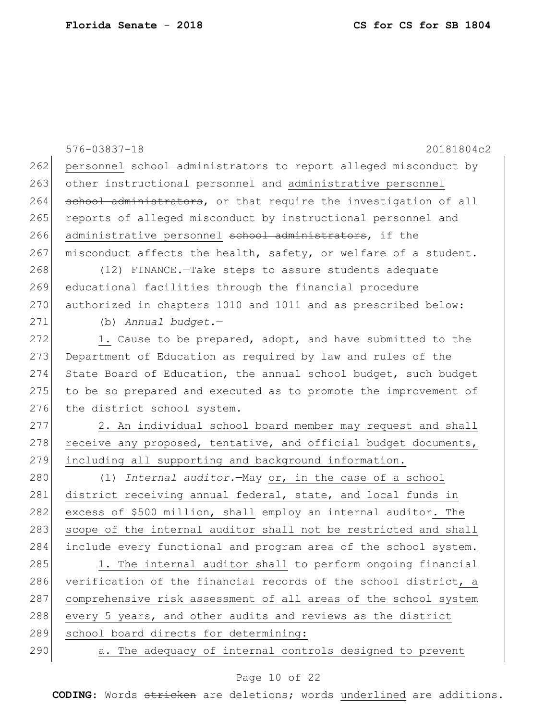576-03837-18 20181804c2 262 personnel school administrators to report alleged misconduct by 263 other instructional personnel and administrative personnel 264 school administrators, or that require the investigation of all 265 reports of alleged misconduct by instructional personnel and 266 administrative personnel school administrators, if the  $267$  misconduct affects the health, safety, or welfare of a student. 268 (12) FINANCE. Take steps to assure students adequate 269 educational facilities through the financial procedure 270 authorized in chapters 1010 and 1011 and as prescribed below: 271 (b) *Annual budget.*— 272 1. Cause to be prepared, adopt, and have submitted to the 273 Department of Education as required by law and rules of the 274 State Board of Education, the annual school budget, such budget 275 to be so prepared and executed as to promote the improvement of 276 the district school system. 277 2. An individual school board member may request and shall 278 receive any proposed, tentative, and official budget documents, 279 including all supporting and background information. 280 (1) *Internal auditor*.—May or, in the case of a school 281 district receiving annual federal, state, and local funds in 282 excess of \$500 million, shall employ an internal auditor**.** The 283 scope of the internal auditor shall not be restricted and shall 284 include every functional and program area of the school system. 285 1. The internal auditor shall  $\pm \sigma$  perform ongoing financial 286 verification of the financial records of the school district, a 287 comprehensive risk assessment of all areas of the school system 288 every 5 years, and other audits and reviews as the district 289 school board directs for determining: 290 a. The adequacy of internal controls designed to prevent

#### Page 10 of 22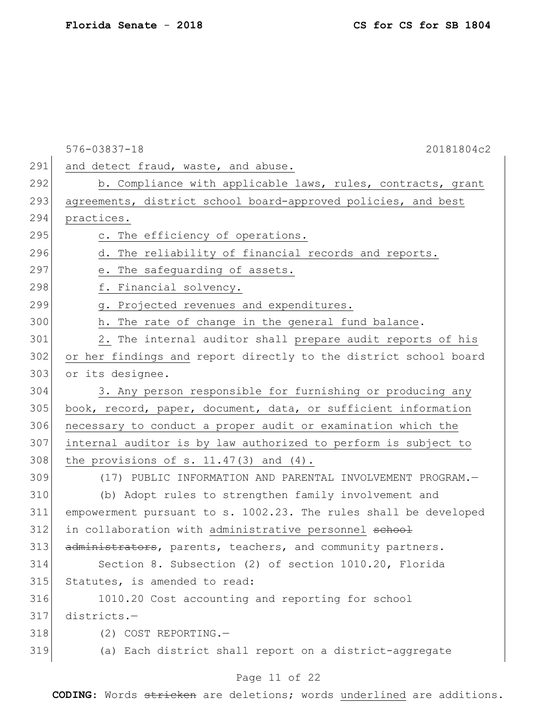|     | 576-03837-18<br>20181804c2                                       |
|-----|------------------------------------------------------------------|
| 291 | and detect fraud, waste, and abuse.                              |
| 292 | b. Compliance with applicable laws, rules, contracts, grant      |
| 293 | agreements, district school board-approved policies, and best    |
| 294 | practices.                                                       |
| 295 | c. The efficiency of operations.                                 |
| 296 | d. The reliability of financial records and reports.             |
| 297 | e. The safeguarding of assets.                                   |
| 298 | f. Financial solvency.                                           |
| 299 | g. Projected revenues and expenditures.                          |
| 300 | h. The rate of change in the general fund balance.               |
| 301 | 2. The internal auditor shall prepare audit reports of his       |
| 302 | or her findings and report directly to the district school board |
| 303 | or its designee.                                                 |
| 304 | 3. Any person responsible for furnishing or producing any        |
| 305 | book, record, paper, document, data, or sufficient information   |
| 306 | necessary to conduct a proper audit or examination which the     |
| 307 | internal auditor is by law authorized to perform is subject to   |
| 308 | the provisions of s. $11.47(3)$ and $(4)$ .                      |
| 309 | (17) PUBLIC INFORMATION AND PARENTAL INVOLVEMENT PROGRAM.-       |
| 310 | (b) Adopt rules to strengthen family involvement and             |
| 311 | empowerment pursuant to s. 1002.23. The rules shall be developed |
| 312 | in collaboration with administrative personnel school            |
| 313 | administrators, parents, teachers, and community partners.       |
| 314 | Section 8. Subsection (2) of section 1010.20, Florida            |
| 315 | Statutes, is amended to read:                                    |
| 316 | 1010.20 Cost accounting and reporting for school                 |
| 317 | districts.-                                                      |
| 318 | (2) COST REPORTING.-                                             |
| 319 | (a) Each district shall report on a district-aggregate           |
|     | Page 11 of 22                                                    |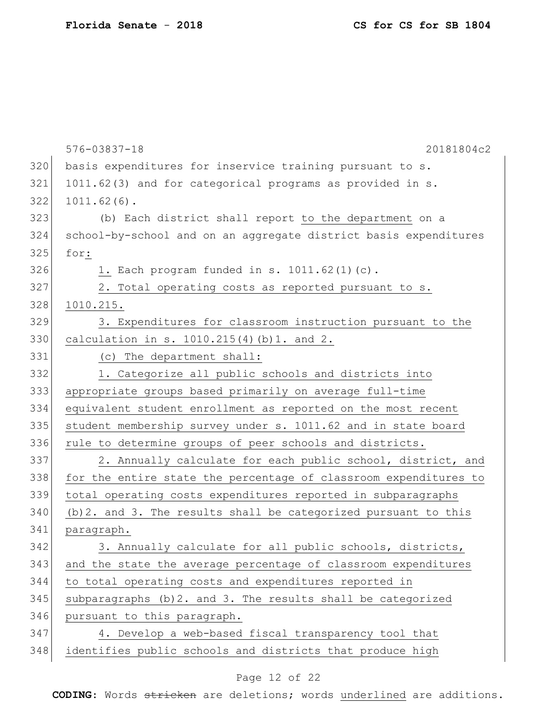|     | $576 - 03837 - 18$<br>20181804c2                                 |
|-----|------------------------------------------------------------------|
| 320 | basis expenditures for inservice training pursuant to s.         |
| 321 | 1011.62(3) and for categorical programs as provided in s.        |
| 322 | $1011.62(6)$ .                                                   |
| 323 | (b) Each district shall report to the department on a            |
| 324 | school-by-school and on an aggregate district basis expenditures |
| 325 | for:                                                             |
| 326 | 1. Each program funded in s. 1011.62(1)(c).                      |
| 327 | 2. Total operating costs as reported pursuant to s.              |
| 328 | 1010.215.                                                        |
| 329 | 3. Expenditures for classroom instruction pursuant to the        |
| 330 | calculation in s. 1010.215(4)(b)1. and 2.                        |
| 331 | (c) The department shall:                                        |
| 332 | 1. Categorize all public schools and districts into              |
| 333 | appropriate groups based primarily on average full-time          |
| 334 | equivalent student enrollment as reported on the most recent     |
| 335 | student membership survey under s. 1011.62 and in state board    |
| 336 | rule to determine groups of peer schools and districts.          |
| 337 | 2. Annually calculate for each public school, district, and      |
| 338 | for the entire state the percentage of classroom expenditures to |
| 339 | total operating costs expenditures reported in subparagraphs     |
| 340 | (b) 2. and 3. The results shall be categorized pursuant to this  |
| 341 | paragraph.                                                       |
| 342 | 3. Annually calculate for all public schools, districts,         |
| 343 | and the state the average percentage of classroom expenditures   |
| 344 | to total operating costs and expenditures reported in            |
| 345 | subparagraphs (b) 2. and 3. The results shall be categorized     |
| 346 | pursuant to this paragraph.                                      |
| 347 | 4. Develop a web-based fiscal transparency tool that             |
| 348 | identifies public schools and districts that produce high        |
|     |                                                                  |

# Page 12 of 22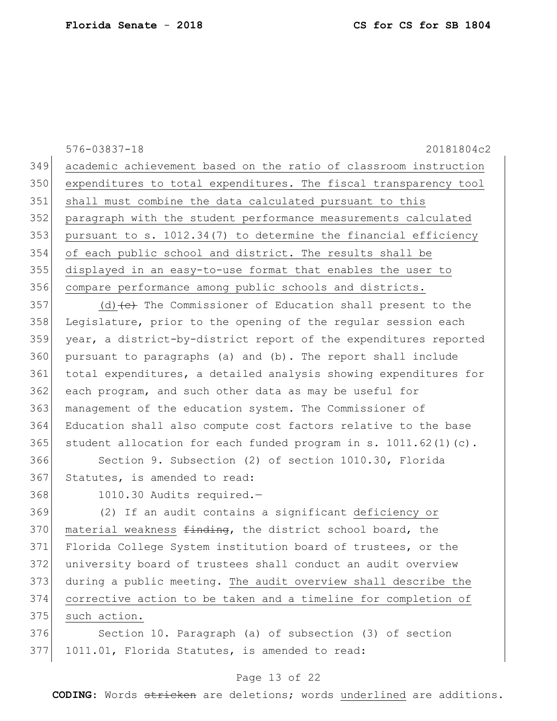576-03837-18 20181804c2 academic achievement based on the ratio of classroom instruction expenditures to total expenditures. The fiscal transparency tool shall must combine the data calculated pursuant to this paragraph with the student performance measurements calculated pursuant to s. 1012.34(7) to determine the financial efficiency of each public school and district. The results shall be displayed in an easy-to-use format that enables the user to compare performance among public schools and districts.

357 (d)  $\left(\text{e}\right)$  The Commissioner of Education shall present to the Legislature, prior to the opening of the regular session each year, a district-by-district report of the expenditures reported pursuant to paragraphs (a) and (b). The report shall include 361 total expenditures, a detailed analysis showing expenditures for each program, and such other data as may be useful for management of the education system. The Commissioner of Education shall also compute cost factors relative to the base 365 student allocation for each funded program in s.  $1011.62(1)(c)$ .

 Section 9. Subsection (2) of section 1010.30, Florida 367 Statutes, is amended to read:

1010.30 Audits required.—

 (2) If an audit contains a significant deficiency or 370 material weakness finding, the district school board, the Florida College System institution board of trustees, or the university board of trustees shall conduct an audit overview during a public meeting. The audit overview shall describe the corrective action to be taken and a timeline for completion of 375 such action.

376 Section 10. Paragraph (a) of subsection (3) of section 1011.01, Florida Statutes, is amended to read:

#### Page 13 of 22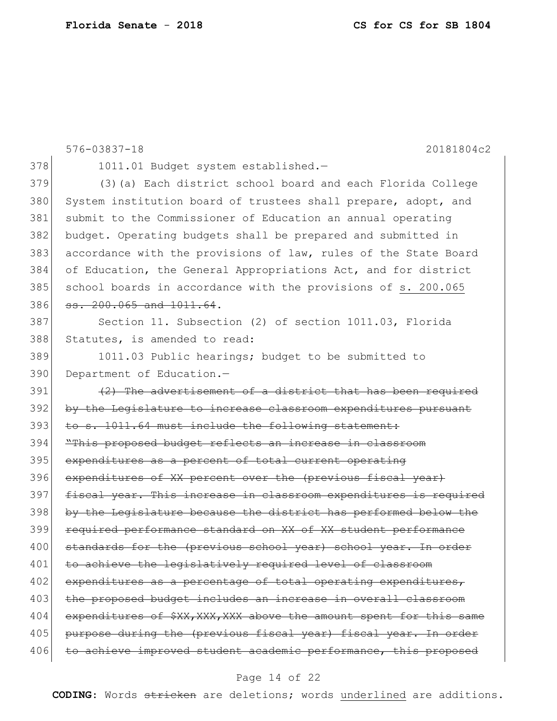|     | $576 - 03837 - 18$<br>20181804c2                                    |
|-----|---------------------------------------------------------------------|
| 378 | 1011.01 Budget system established.-                                 |
| 379 | (3) (a) Each district school board and each Florida College         |
| 380 | System institution board of trustees shall prepare, adopt, and      |
| 381 | submit to the Commissioner of Education an annual operating         |
| 382 | budget. Operating budgets shall be prepared and submitted in        |
| 383 | accordance with the provisions of law, rules of the State Board     |
| 384 | of Education, the General Appropriations Act, and for district      |
| 385 | school boards in accordance with the provisions of s. 200.065       |
| 386 | ss. 200.065 and 1011.64.                                            |
| 387 | Section 11. Subsection (2) of section 1011.03, Florida              |
| 388 | Statutes, is amended to read:                                       |
| 389 | 1011.03 Public hearings; budget to be submitted to                  |
| 390 | Department of Education.-                                           |
| 391 | (2) The advertisement of a district that has been required          |
| 392 | by the Legislature to increase classroom expenditures pursuant      |
| 393 | to s. 1011.64 must include the following statement:                 |
| 394 | "This proposed budget reflects an increase in classroom             |
| 395 | expenditures as a percent of total current operating                |
| 396 | expenditures of XX percent over the (previous fiscal year)          |
| 397 | fiscal year. This increase in classroom expenditures is required    |
| 398 | by the Legislature because the district has performed below the     |
| 399 | required performance standard on XX of XX student performance       |
| 400 | standards for the (previous school year) school year. In order      |
| 401 | to achieve the legislatively required level of classroom            |
| 402 | expenditures as a percentage of total operating expenditures,       |
| 403 | the proposed budget includes an increase in overall classroom       |
| 404 | expenditures of \$XX, XXX, XXX above the amount spent for this same |
| 405 | purpose during the (previous fiscal year) fiscal year. In order     |
| 406 | to achieve improved student academic performance, this proposed     |

# Page 14 of 22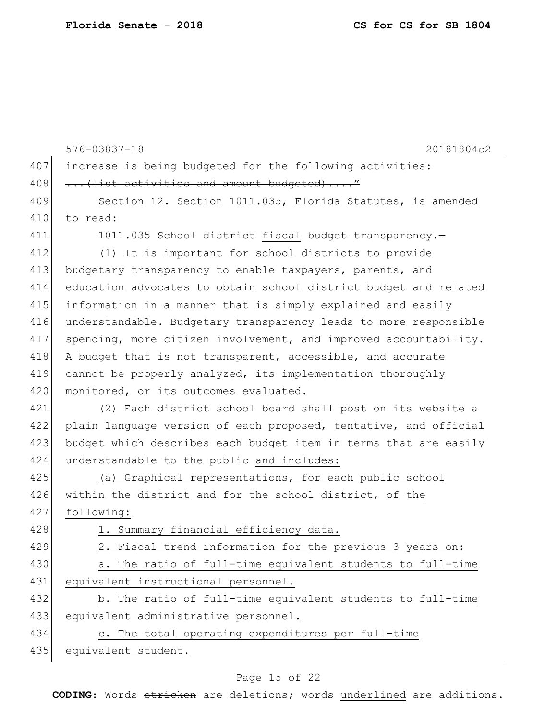|     | $576 - 03837 - 18$<br>20181804c2                                 |
|-----|------------------------------------------------------------------|
| 407 | increase is being budgeted for the following activities:         |
| 408 | (list activities and amount budgeted)"                           |
| 409 | Section 12. Section 1011.035, Florida Statutes, is amended       |
| 410 | to read:                                                         |
| 411 | 1011.035 School district fiscal budget transparency.-            |
| 412 | (1) It is important for school districts to provide              |
| 413 | budgetary transparency to enable taxpayers, parents, and         |
| 414 | education advocates to obtain school district budget and related |
| 415 | information in a manner that is simply explained and easily      |
| 416 | understandable. Budgetary transparency leads to more responsible |
| 417 | spending, more citizen involvement, and improved accountability. |
| 418 | A budget that is not transparent, accessible, and accurate       |
| 419 | cannot be properly analyzed, its implementation thoroughly       |
| 420 | monitored, or its outcomes evaluated.                            |
| 421 | (2) Each district school board shall post on its website a       |
| 422 | plain language version of each proposed, tentative, and official |
| 423 | budget which describes each budget item in terms that are easily |
| 424 | understandable to the public and includes:                       |
| 425 | (a) Graphical representations, for each public school            |
| 426 | within the district and for the school district, of the          |
| 427 | following:                                                       |
| 428 | 1. Summary financial efficiency data.                            |
| 429 | 2. Fiscal trend information for the previous 3 years on:         |
| 430 | a. The ratio of full-time equivalent students to full-time       |
| 431 | equivalent instructional personnel.                              |
| 432 | b. The ratio of full-time equivalent students to full-time       |
| 433 | equivalent administrative personnel.                             |
| 434 | c. The total operating expenditures per full-time                |
| 435 | equivalent student.                                              |

# Page 15 of 22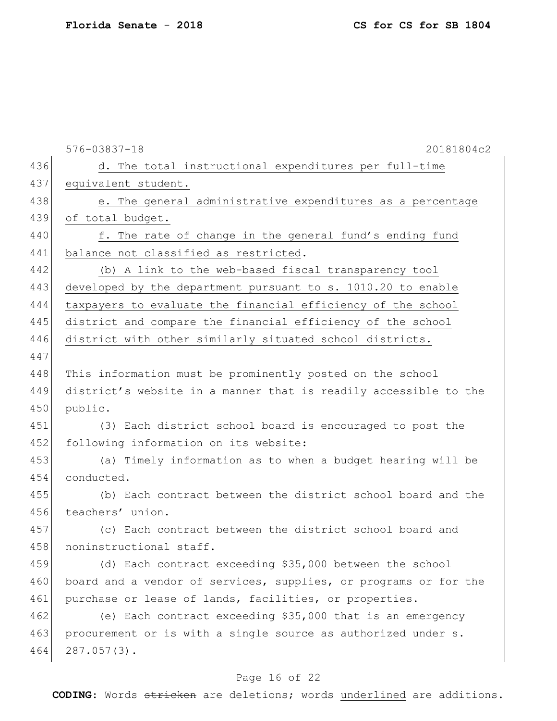|     | $576 - 03837 - 18$<br>20181804c2                                 |
|-----|------------------------------------------------------------------|
| 436 | d. The total instructional expenditures per full-time            |
| 437 | equivalent student.                                              |
| 438 | e. The general administrative expenditures as a percentage       |
| 439 | of total budget.                                                 |
| 440 | f. The rate of change in the general fund's ending fund          |
| 441 | balance not classified as restricted.                            |
| 442 | (b) A link to the web-based fiscal transparency tool             |
| 443 | developed by the department pursuant to s. 1010.20 to enable     |
| 444 | taxpayers to evaluate the financial efficiency of the school     |
| 445 | district and compare the financial efficiency of the school      |
| 446 | district with other similarly situated school districts.         |
| 447 |                                                                  |
| 448 | This information must be prominently posted on the school        |
| 449 | district's website in a manner that is readily accessible to the |
| 450 | public.                                                          |
| 451 | (3) Each district school board is encouraged to post the         |
| 452 | following information on its website:                            |
| 453 | (a) Timely information as to when a budget hearing will be       |
| 454 | conducted.                                                       |
| 455 | (b) Each contract between the district school board and the      |
| 456 | teachers' union.                                                 |
| 457 | (c) Each contract between the district school board and          |
| 458 | noninstructional staff.                                          |
| 459 | (d) Each contract exceeding \$35,000 between the school          |
| 460 | board and a vendor of services, supplies, or programs or for the |
| 461 | purchase or lease of lands, facilities, or properties.           |
| 462 | (e) Each contract exceeding \$35,000 that is an emergency        |
| 463 | procurement or is with a single source as authorized under s.    |
| 464 | $287.057(3)$ .                                                   |
|     |                                                                  |

# Page 16 of 22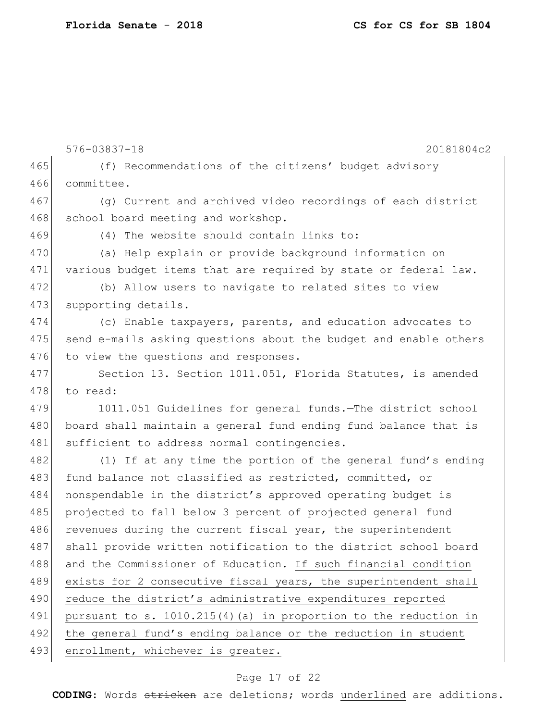576-03837-18 20181804c2 465 (f) Recommendations of the citizens' budget advisory 466 committee. 467 (g) Current and archived video recordings of each district 468 school board meeting and workshop. 469 (4) The website should contain links to: 470 (a) Help explain or provide background information on 471 various budget items that are required by state or federal law. 472 (b) Allow users to navigate to related sites to view 473 supporting details. 474 (c) Enable taxpayers, parents, and education advocates to 475 send e-mails asking questions about the budget and enable others 476 to view the questions and responses. 477 Section 13. Section 1011.051, Florida Statutes, is amended 478 to read: 479 1011.051 Guidelines for general funds.—The district school 480 board shall maintain a general fund ending fund balance that is 481 sufficient to address normal contingencies. 482 (1) If at any time the portion of the general fund's ending 483 fund balance not classified as restricted, committed, or 484 nonspendable in the district's approved operating budget is 485 projected to fall below 3 percent of projected general fund 486 revenues during the current fiscal year, the superintendent 487 shall provide written notification to the district school board 488 and the Commissioner of Education. If such financial condition 489 exists for 2 consecutive fiscal years, the superintendent shall 490 reduce the district's administrative expenditures reported 491 pursuant to s. 1010.215(4) (a) in proportion to the reduction in 492 the general fund's ending balance or the reduction in student 493 enrollment, whichever is greater.

#### Page 17 of 22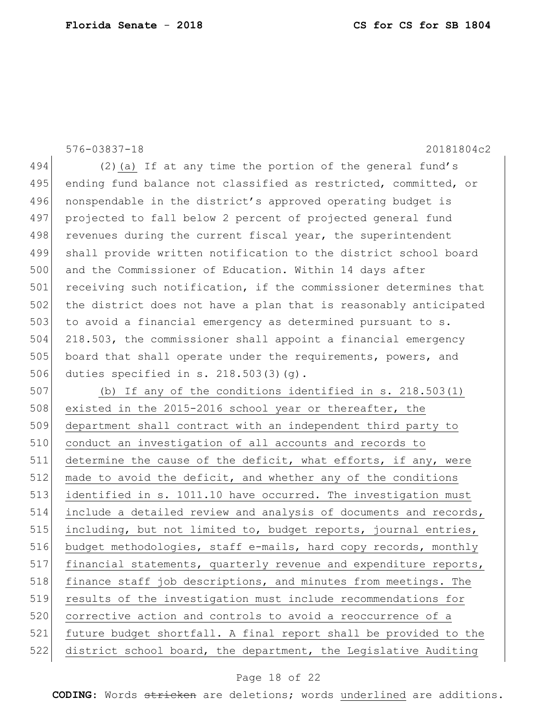576-03837-18 20181804c2 494  $(2)$  (a) If at any time the portion of the general fund's 495 ending fund balance not classified as restricted, committed, or 496 nonspendable in the district's approved operating budget is 497 projected to fall below 2 percent of projected general fund 498 revenues during the current fiscal year, the superintendent 499 shall provide written notification to the district school board 500 and the Commissioner of Education. Within 14 days after 501 receiving such notification, if the commissioner determines that 502 the district does not have a plan that is reasonably anticipated 503 to avoid a financial emergency as determined pursuant to s. 504 218.503, the commissioner shall appoint a financial emergency 505 board that shall operate under the requirements, powers, and 506 duties specified in s. 218.503(3)(g). 507 (b) If any of the conditions identified in s. 218.503(1) 508 existed in the 2015-2016 school year or thereafter, the 509 department shall contract with an independent third party to 510 conduct an investigation of all accounts and records to 511 determine the cause of the deficit, what efforts, if any, were 512 made to avoid the deficit, and whether any of the conditions 513 identified in s. 1011.10 have occurred. The investigation must 514 include a detailed review and analysis of documents and records,

515 including, but not limited to, budget reports, journal entries, 516 budget methodologies, staff e-mails, hard copy records, monthly 517 financial statements, quarterly revenue and expenditure reports, 518 finance staff job descriptions, and minutes from meetings. The 519 results of the investigation must include recommendations for 520 corrective action and controls to avoid a reoccurrence of a 521 future budget shortfall. A final report shall be provided to the 522 district school board, the department, the Legislative Auditing

#### Page 18 of 22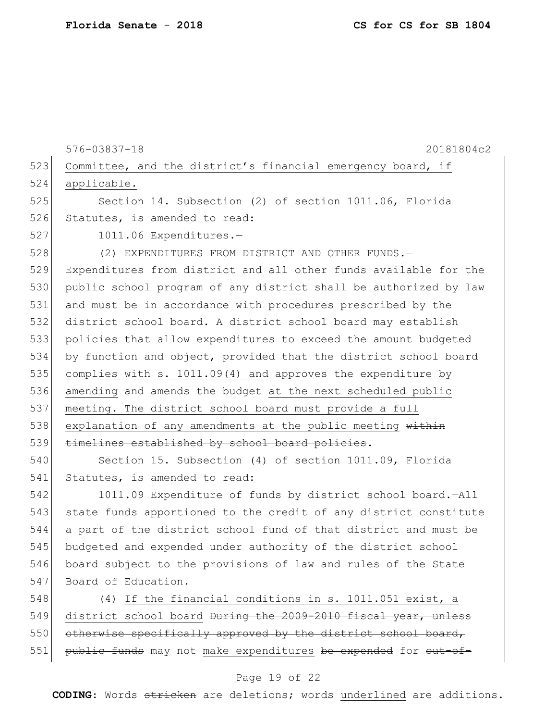576-03837-18 20181804c2 523 Committee, and the district's financial emergency board, if applicable. Section 14. Subsection (2) of section 1011.06, Florida 526 Statutes, is amended to read: 1011.06 Expenditures.— (2) EXPENDITURES FROM DISTRICT AND OTHER FUNDS.— Expenditures from district and all other funds available for the public school program of any district shall be authorized by law and must be in accordance with procedures prescribed by the district school board. A district school board may establish policies that allow expenditures to exceed the amount budgeted by function and object, provided that the district school board 535 complies with s.  $1011.09(4)$  and approves the expenditure by 536 amending and amends the budget at the next scheduled public meeting. The district school board must provide a full 538 explanation of any amendments at the public meeting  $within$  timelines established by school board policies. Section 15. Subsection (4) of section 1011.09, Florida 541 Statutes, is amended to read:

 1011.09 Expenditure of funds by district school board.—All 543 state funds apportioned to the credit of any district constitute a part of the district school fund of that district and must be budgeted and expended under authority of the district school board subject to the provisions of law and rules of the State 547 Board of Education.

548 (4) If the financial conditions in s. 1011.051 exist, a 549 district school board During the 2009-2010 fiscal year, unless 550 otherwise specifically approved by the district school board, 551 public funds may not make expenditures be expended for out-of-

#### Page 19 of 22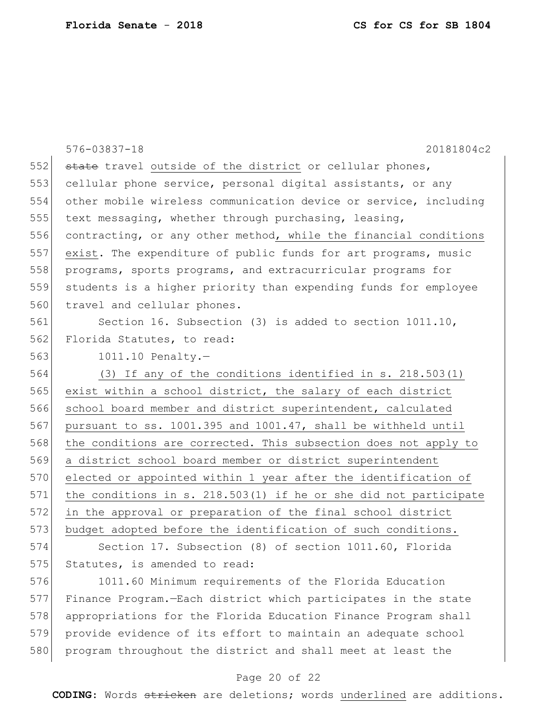|     | $576 - 03837 - 18$<br>20181804c2                                   |
|-----|--------------------------------------------------------------------|
| 552 | state travel outside of the district or cellular phones,           |
| 553 | cellular phone service, personal digital assistants, or any        |
| 554 |                                                                    |
|     | other mobile wireless communication device or service, including   |
| 555 | text messaging, whether through purchasing, leasing,               |
| 556 | contracting, or any other method, while the financial conditions   |
| 557 | exist. The expenditure of public funds for art programs, music     |
| 558 | programs, sports programs, and extracurricular programs for        |
| 559 | students is a higher priority than expending funds for employee    |
| 560 | travel and cellular phones.                                        |
| 561 | Section 16. Subsection (3) is added to section 1011.10,            |
| 562 | Florida Statutes, to read:                                         |
| 563 | $1011.10$ Penalty.-                                                |
| 564 | (3) If any of the conditions identified in s. 218.503(1)           |
| 565 | exist within a school district, the salary of each district        |
| 566 | school board member and district superintendent, calculated        |
| 567 | pursuant to ss. 1001.395 and 1001.47, shall be withheld until      |
| 568 | the conditions are corrected. This subsection does not apply to    |
| 569 | a district school board member or district superintendent          |
| 570 | elected or appointed within 1 year after the identification of     |
| 571 | the conditions in s. $218.503(1)$ if he or she did not participate |
| 572 | in the approval or preparation of the final school district        |
| 573 | budget adopted before the identification of such conditions.       |
| 574 | Section 17. Subsection (8) of section 1011.60, Florida             |
| 575 | Statutes, is amended to read:                                      |
| 576 | 1011.60 Minimum requirements of the Florida Education              |
| 577 | Finance Program.-Each district which participates in the state     |
| 578 | appropriations for the Florida Education Finance Program shall     |
| 579 | provide evidence of its effort to maintain an adequate school      |
| 580 | program throughout the district and shall meet at least the        |

# Page 20 of 22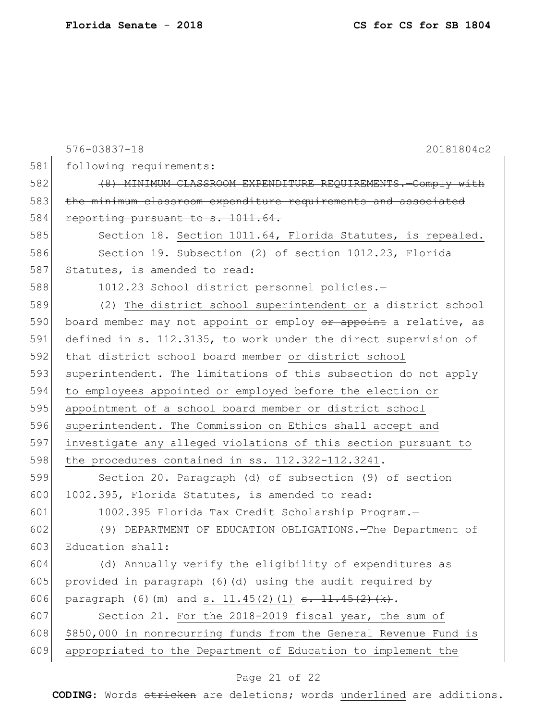|     | $576 - 03837 - 18$<br>20181804c2                                                          |
|-----|-------------------------------------------------------------------------------------------|
| 581 | following requirements:                                                                   |
| 582 | (8) MINIMUM CLASSROOM EXPENDITURE REQUIREMENTS. Comply with                               |
| 583 | the minimum classroom expenditure requirements and associated                             |
| 584 | reporting pursuant to s. 1011.64.                                                         |
| 585 | Section 18. Section 1011.64, Florida Statutes, is repealed.                               |
| 586 | Section 19. Subsection (2) of section 1012.23, Florida                                    |
| 587 | Statutes, is amended to read:                                                             |
| 588 | 1012.23 School district personnel policies.-                                              |
| 589 | (2) The district school superintendent or a district school                               |
| 590 | board member may not appoint or employ or appoint a relative, as                          |
| 591 | defined in s. 112.3135, to work under the direct supervision of                           |
| 592 | that district school board member or district school                                      |
| 593 | superintendent. The limitations of this subsection do not apply                           |
| 594 | to employees appointed or employed before the election or                                 |
| 595 | appointment of a school board member or district school                                   |
| 596 | superintendent. The Commission on Ethics shall accept and                                 |
| 597 | investigate any alleged violations of this section pursuant to                            |
| 598 | the procedures contained in ss. $112.322 - 112.3241$ .                                    |
| 599 | Section 20. Paragraph (d) of subsection (9) of section                                    |
| 600 | 1002.395, Florida Statutes, is amended to read:                                           |
| 601 | 1002.395 Florida Tax Credit Scholarship Program.-                                         |
| 602 | (9) DEPARTMENT OF EDUCATION OBLIGATIONS. The Department of                                |
| 603 | Education shall:                                                                          |
| 604 | (d) Annually verify the eligibility of expenditures as                                    |
| 605 | provided in paragraph (6)(d) using the audit required by                                  |
| 606 | paragraph (6) (m) and s. $11.45(2)$ (1) $\frac{11.45(2) + 11.45(2) + 11.45(2)}{11.45(2)}$ |
| 607 | Section 21. For the 2018-2019 fiscal year, the sum of                                     |
| 608 | \$850,000 in nonrecurring funds from the General Revenue Fund is                          |
| 609 | appropriated to the Department of Education to implement the                              |

# Page 21 of 22